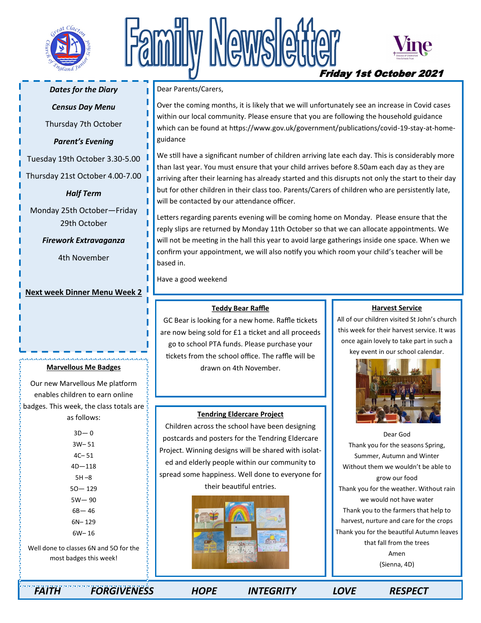

# Newsle



Friday 1st October 2021

# *Dates for the Diary*

# *Census Day Menu*

Thursday 7th October

## *Parent's Evening*

Tuesday 19th October 3.30-5.00

Thursday 21st October 4.00-7.00

*Half Term* 

Monday 25th October—Friday 29th October

*Firework Extravaganza* 

4th November

# **Next week Dinner Menu Week 2**

## **Marvellous Me Badges**

Our new Marvellous Me platform enables children to earn online badges. This week, the class totals are  $\frac{1}{2}$ as follows:

> $3D - 0$ 3W– 51 4C– 51 4D—118 5H –8 5O— 129 5W— 90 6B— 46 6N– 129 6W– 16

Well done to classes 6N and 5O for the most badges this week!

Dear Parents/Carers,

Over the coming months, it is likely that we will unfortunately see an increase in Covid cases within our local community. Please ensure that you are following the household guidance which can be found at https://www.gov.uk/government/publications/covid-19-stay-at-homeguidance

We still have a significant number of children arriving late each day. This is considerably more than last year. You must ensure that your child arrives before 8.50am each day as they are arriving after their learning has already started and this disrupts not only the start to their day but for other children in their class too. Parents/Carers of children who are persistently late, will be contacted by our attendance officer.

Letters regarding parents evening will be coming home on Monday. Please ensure that the reply slips are returned by Monday 11th October so that we can allocate appointments. We will not be meeting in the hall this year to avoid large gatherings inside one space. When we confirm your appointment, we will also notify you which room your child's teacher will be based in.

Have a good weekend

#### **Teddy Bear Raffle**

GC Bear is looking for a new home. Raffle tickets are now being sold for £1 a ticket and all proceeds go to school PTA funds. Please purchase your tickets from the school office. The raffle will be drawn on 4th November.

## **Tendring Eldercare Project**

Children across the school have been designing postcards and posters for the Tendring Eldercare Project. Winning designs will be shared with isolated and elderly people within our community to spread some happiness. Well done to everyone for their beautiful entries.



#### **Harvest Service**

All of our children visited St John's church this week for their harvest service. It was once again lovely to take part in such a key event in our school calendar.



Dear God Thank you for the seasons Spring, Summer, Autumn and Winter Without them we wouldn't be able to grow our food Thank you for the weather. Without rain we would not have water Thank you to the farmers that help to harvest, nurture and care for the crops Thank you for the beautiful Autumn leaves that fall from the trees Amen (Sienna, 4D)

 *FAITH FORGIVENESS HOPE INTEGRITY LOVE RESPECT*